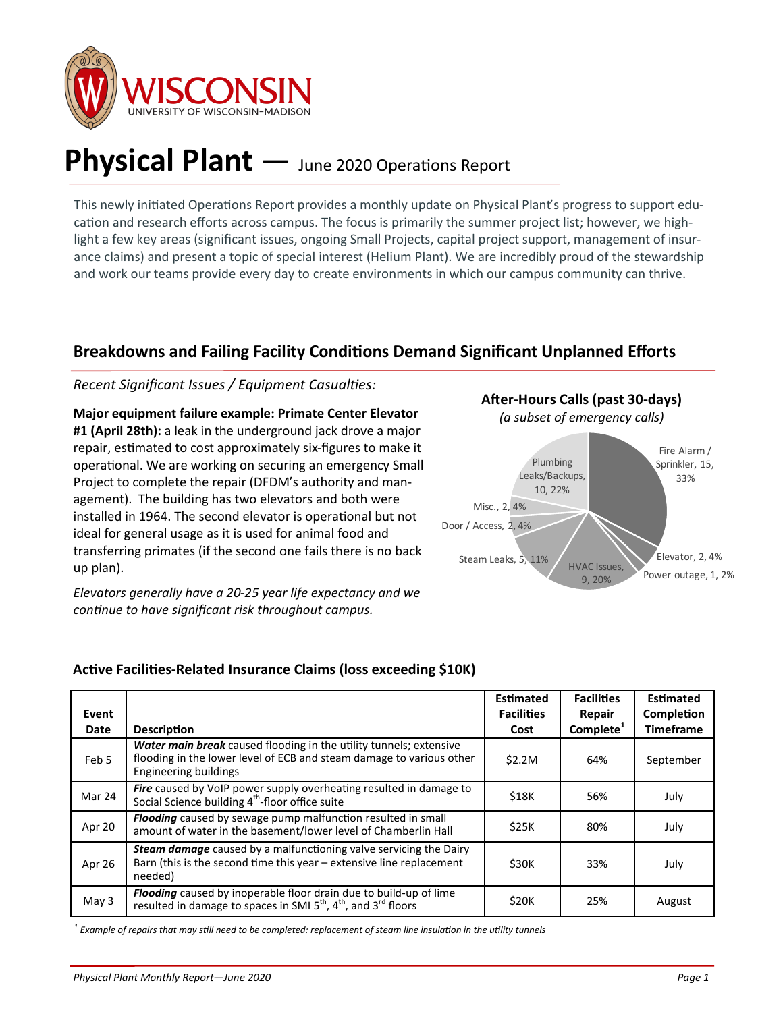

# **Physical Plant** — June 2020 Operations Report

This newly initiated Operations Report provides a monthly update on Physical Plant's progress to support education and research efforts across campus. The focus is primarily the summer project list; however, we highlight a few key areas (significant issues, ongoing Small Projects, capital project support, management of insurance claims) and present a topic of special interest (Helium Plant). We are incredibly proud of the stewardship and work our teams provide every day to create environments in which our campus community can thrive.

## **Breakdowns and Failing Facility Conditions Demand Significant Unplanned Efforts**

#### *Recent Significant Issues / Equipment Casualties:*

**Major equipment failure example: Primate Center Elevator #1 (April 28th):** a leak in the underground jack drove a major repair, estimated to cost approximately six-figures to make it operational. We are working on securing an emergency Small Project to complete the repair (DFDM's authority and management). The building has two elevators and both were installed in 1964. The second elevator is operational but not ideal for general usage as it is used for animal food and transferring primates (if the second one fails there is no back up plan).

*Elevators generally have a 20-25 year life expectancy and we continue to have significant risk throughout campus.*



#### **Active Facilities-Related Insurance Claims (loss exceeding \$10K)**

| Event       |                                                                                                                                                                            | <b>Estimated</b><br><b>Facilities</b> | <b>Facilities</b><br>Repair | <b>Estimated</b><br>Completion |
|-------------|----------------------------------------------------------------------------------------------------------------------------------------------------------------------------|---------------------------------------|-----------------------------|--------------------------------|
| <b>Date</b> | <b>Description</b>                                                                                                                                                         | Cost                                  | Complete <sup>1</sup>       | <b>Timeframe</b>               |
| Feb 5       | Water main break caused flooding in the utility tunnels; extensive<br>flooding in the lower level of ECB and steam damage to various other<br><b>Engineering buildings</b> | \$2.2M                                | 64%                         | September                      |
| Mar 24      | <b>Fire</b> caused by VoIP power supply overheating resulted in damage to<br>Social Science building 4 <sup>th</sup> -floor office suite                                   | \$18K                                 | 56%                         | July                           |
| Apr 20      | Flooding caused by sewage pump malfunction resulted in small<br>amount of water in the basement/lower level of Chamberlin Hall                                             | \$25K                                 | 80%                         | July                           |
| Apr 26      | Steam damage caused by a malfunctioning valve servicing the Dairy<br>Barn (this is the second time this year - extensive line replacement<br>needed)                       | \$30K                                 | 33%                         | July                           |
| May 3       | Flooding caused by inoperable floor drain due to build-up of lime<br>resulted in damage to spaces in SMI 5 <sup>th</sup> , 4 <sup>th</sup> , and 3 <sup>rd</sup> floors    | \$20K                                 | 25%                         | August                         |

*1 Example of repairs that may still need to be completed: replacement of steam line insulation in the utility tunnels*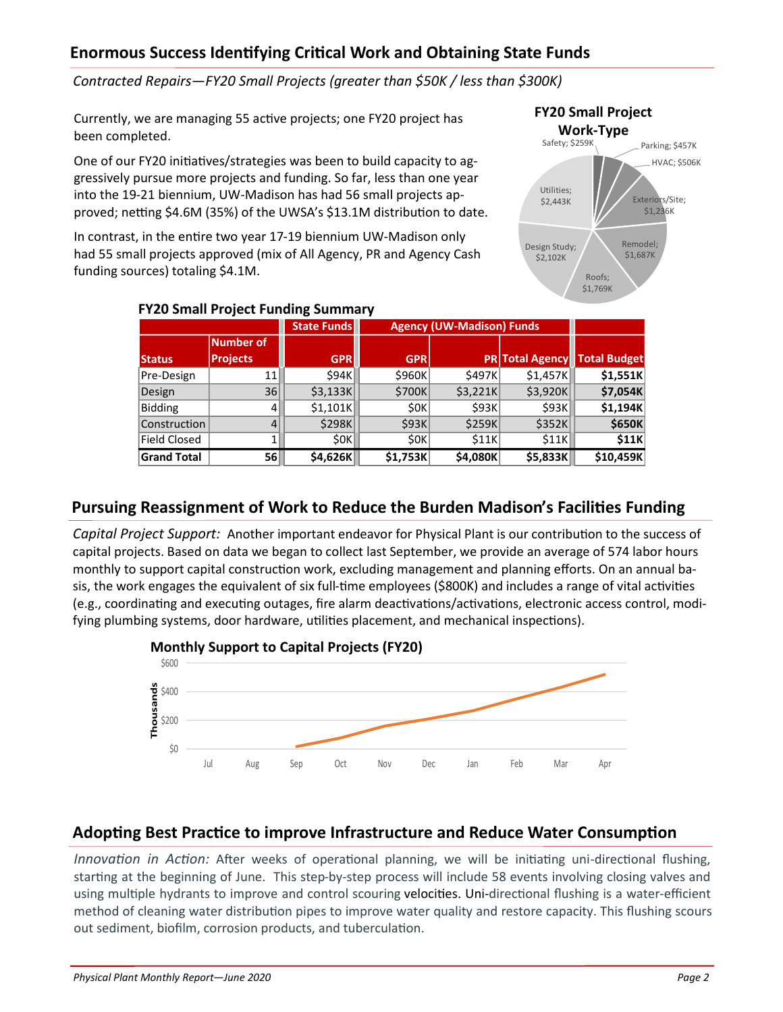## **Enormous Success Identifying Critical Work and Obtaining State Funds**

*Contracted Repairs—FY20 Small Projects (greater than \$50K / less than \$300K)* 

Currently, we are managing 55 active projects; one FY20 project has been completed.

One of our FY20 initiatives/strategies was been to build capacity to aggressively pursue more projects and funding. So far, less than one year into the 19-21 biennium, UW-Madison has had 56 small projects approved; netting \$4.6M (35%) of the UWSA's \$13.1M distribution to date.

In contrast, in the entire two year 17-19 biennium UW-Madison only had 55 small projects approved (mix of All Agency, PR and Agency Cash funding sources) totaling \$4.1M.



| $1.120$ 3111011 1 1 0 1 0 0 0 1 1 0 1 1 0 1 1 1 1 1 1 1 $\pm$ |                 |                    |                                  |                |          |                                     |  |  |  |
|---------------------------------------------------------------|-----------------|--------------------|----------------------------------|----------------|----------|-------------------------------------|--|--|--|
|                                                               |                 | <b>State Funds</b> | <b>Agency (UW-Madison) Funds</b> |                |          |                                     |  |  |  |
|                                                               | Number of       |                    |                                  |                |          |                                     |  |  |  |
| <b>Status</b>                                                 | <b>Projects</b> | <b>GPR</b>         | <b>GPR</b>                       |                |          | <b>PR Total Agency Total Budget</b> |  |  |  |
| Pre-Design                                                    | 11              | <b>S94K</b>        | \$960K                           | <b>\$497KI</b> | \$1,457K | \$1,551K                            |  |  |  |
| Design                                                        | 36              | \$3,133K           | \$700K                           | \$3,221K       | \$3,920K | \$7,054K                            |  |  |  |
| <b>Bidding</b>                                                | 41              | \$1,101K           | 50K                              | \$93K          | \$93K    | \$1,194K                            |  |  |  |
| Construction                                                  | 4               | \$298K             | \$93K                            | \$259K         | \$352K   | \$650K                              |  |  |  |
| <b>Field Closed</b>                                           |                 | 50K                | 50K                              | \$11K          | \$11K    | \$11K                               |  |  |  |
| <b>Grand Total</b>                                            | 56              | \$4,626K           | \$1,753K                         | \$4,080K       | \$5,833K | \$10,459K                           |  |  |  |

#### **FY20 Small Project Funding Summary**

## **Pursuing Reassignment of Work to Reduce the Burden Madison's Facilities Funding**

*Capital Project Support:* Another important endeavor for Physical Plant is our contribution to the success of capital projects. Based on data we began to collect last September, we provide an average of 574 labor hours monthly to support capital construction work, excluding management and planning efforts. On an annual basis, the work engages the equivalent of six full-time employees (\$800K) and includes a range of vital activities (e.g., coordinating and executing outages, fire alarm deactivations/activations, electronic access control, modifying plumbing systems, door hardware, utilities placement, and mechanical inspections).



## **Adopting Best Practice to improve Infrastructure and Reduce Water Consumption**

*Innovation in Action:* After weeks of operational planning, we will be initiating uni-directional flushing, starting at the beginning of June. This step-by-step process will include 58 events involving closing valves and using multiple hydrants to improve and control scouring velocities. Uni-directional flushing is a water-efficient method of cleaning water distribution pipes to improve water quality and restore capacity. This flushing scours out sediment, biofilm, corrosion products, and tuberculation.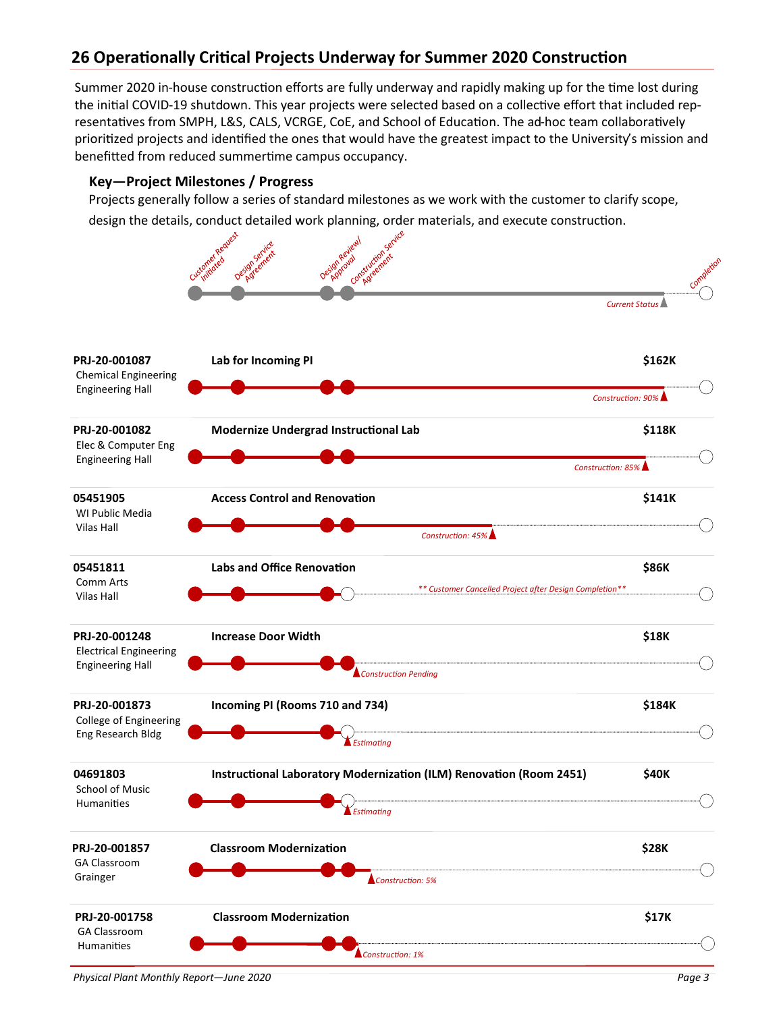# **26 Operationally Critical Projects Underway for Summer 2020 Construction**

Summer 2020 in-house construction efforts are fully underway and rapidly making up for the time lost during the initial COVID-19 shutdown. This year projects were selected based on a collective effort that included representatives from SMPH, L&S, CALS, VCRGE, CoE, and School of Education. The ad-hoc team collaboratively prioritized projects and identified the ones that would have the greatest impact to the University's mission and benefitted from reduced summertime campus occupancy.

#### **Key—Project Milestones / Progress**

Projects generally follow a series of standard milestones as we work with the customer to clarify scope, design the details, conduct detailed work planning, order materials, and execute construction.

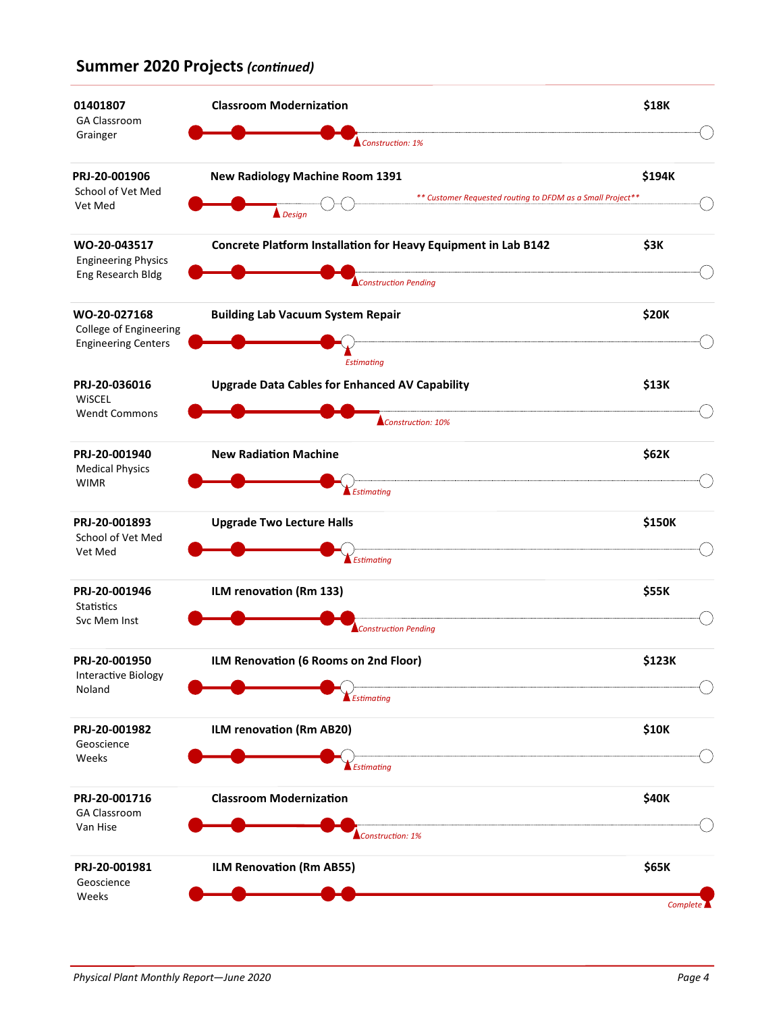### **Summer 2020 Projects** *(continued)*